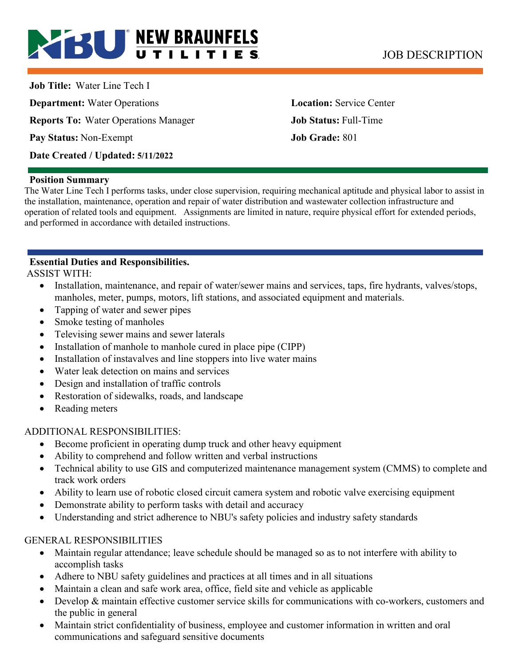# **BU NEW BRAUNFELS** JOB DESCRIPTION

**Job Title:** Water Line Tech I **Department:** Water Operations **Location: Service Center Reports To:** Water Operations Manager **Job Status:** Full-Time **Pay Status:** Non-Exempt **Job Grade:** 801 **Date Created / Updated: 5/11/2022** 

#### **Position Summary**

The Water Line Tech I performs tasks, under close supervision, requiring mechanical aptitude and physical labor to assist in the installation, maintenance, operation and repair of water distribution and wastewater collection infrastructure and operation of related tools and equipment. Assignments are limited in nature, require physical effort for extended periods, and performed in accordance with detailed instructions.

# **Essential Duties and Responsibilities.**

ASSIST WITH:

- Installation, maintenance, and repair of water/sewer mains and services, taps, fire hydrants, valves/stops, manholes, meter, pumps, motors, lift stations, and associated equipment and materials.
- Tapping of water and sewer pipes
- Smoke testing of manholes
- Televising sewer mains and sewer laterals
- Installation of manhole to manhole cured in place pipe (CIPP)
- Installation of instavalves and line stoppers into live water mains
- Water leak detection on mains and services
- Design and installation of traffic controls
- Restoration of sidewalks, roads, and landscape
- Reading meters

#### ADDITIONAL RESPONSIBILITIES:

- Become proficient in operating dump truck and other heavy equipment
- Ability to comprehend and follow written and verbal instructions
- Technical ability to use GIS and computerized maintenance management system (CMMS) to complete and track work orders
- Ability to learn use of robotic closed circuit camera system and robotic valve exercising equipment
- Demonstrate ability to perform tasks with detail and accuracy
- Understanding and strict adherence to NBU's safety policies and industry safety standards

#### GENERAL RESPONSIBILITIES

- Maintain regular attendance; leave schedule should be managed so as to not interfere with ability to accomplish tasks
- Adhere to NBU safety guidelines and practices at all times and in all situations
- Maintain a clean and safe work area, office, field site and vehicle as applicable
- Develop & maintain effective customer service skills for communications with co-workers, customers and the public in general
- Maintain strict confidentiality of business, employee and customer information in written and oral communications and safeguard sensitive documents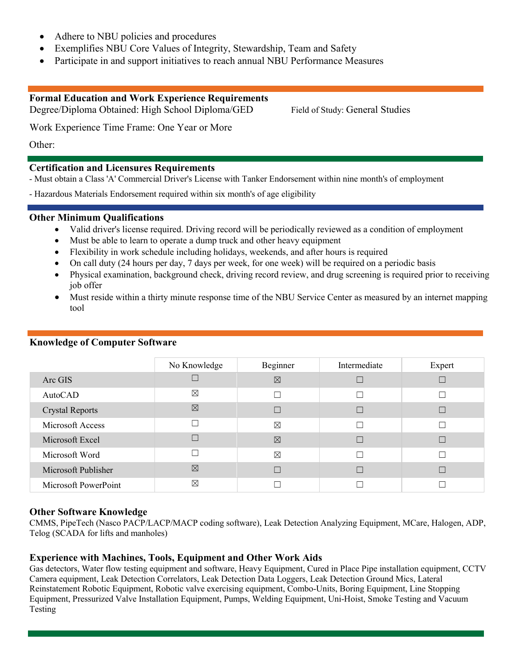- Adhere to NBU policies and procedures
- Exemplifies NBU Core Values of Integrity, Stewardship, Team and Safety
- Participate in and support initiatives to reach annual NBU Performance Measures

#### **Formal Education and Work Experience Requirements**

Degree/Diploma Obtained: High School Diploma/GED Field of Study: General Studies

Work Experience Time Frame: One Year or More

Other:

#### **Certification and Licensures Requirements**

- Must obtain a Class 'A' Commercial Driver's License with Tanker Endorsement within nine month's of employment

- Hazardous Materials Endorsement required within six month's of age eligibility

#### **Other Minimum Qualifications**

- Valid driver's license required. Driving record will be periodically reviewed as a condition of employment
- Must be able to learn to operate a dump truck and other heavy equipment
- Flexibility in work schedule including holidays, weekends, and after hours is required
- On call duty (24 hours per day, 7 days per week, for one week) will be required on a periodic basis
- Physical examination, background check, driving record review, and drug screening is required prior to receiving job offer
- Must reside within a thirty minute response time of the NBU Service Center as measured by an internet mapping tool

|                        | No Knowledge | Beginner    | Intermediate | Expert |
|------------------------|--------------|-------------|--------------|--------|
| Arc GIS                |              | $\boxtimes$ |              |        |
| AutoCAD                | ⊠            | Г           | П            |        |
| <b>Crystal Reports</b> | ⊠            | Г           |              |        |
| Microsoft Access       |              | $\boxtimes$ | Г            |        |
| Microsoft Excel        |              | $\boxtimes$ |              |        |
| Microsoft Word         |              | $\boxtimes$ |              |        |
| Microsoft Publisher    | $\boxtimes$  |             |              |        |
| Microsoft PowerPoint   | $\boxtimes$  |             |              |        |

#### **Knowledge of Computer Software**

#### **Other Software Knowledge**

CMMS, PipeTech (Nasco PACP/LACP/MACP coding software), Leak Detection Analyzing Equipment, MCare, Halogen, ADP, Telog (SCADA for lifts and manholes)

#### **Experience with Machines, Tools, Equipment and Other Work Aids**

Gas detectors, Water flow testing equipment and software, Heavy Equipment, Cured in Place Pipe installation equipment, CCTV Camera equipment, Leak Detection Correlators, Leak Detection Data Loggers, Leak Detection Ground Mics, Lateral Reinstatement Robotic Equipment, Robotic valve exercising equipment, Combo-Units, Boring Equipment, Line Stopping Equipment, Pressurized Valve Installation Equipment, Pumps, Welding Equipment, Uni-Hoist, Smoke Testing and Vacuum Testing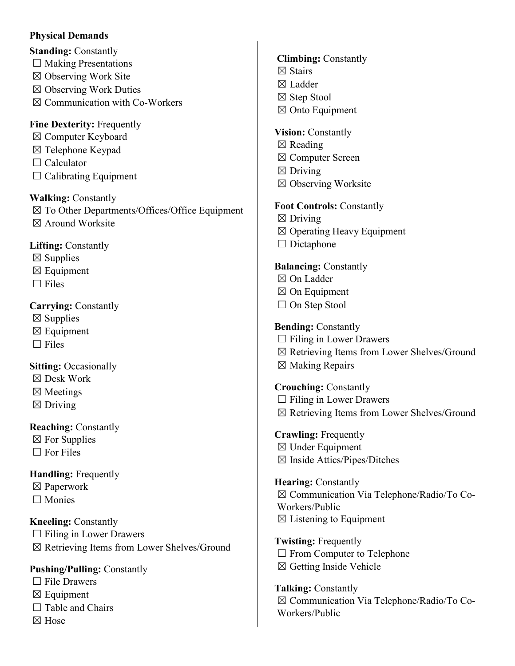#### **Physical Demands**

- **Standing: Constantly**
- $\Box$  Making Presentations
- ☒ Observing Work Site
- ☒ Observing Work Duties
- ☒ Communication with Co-Workers

**Fine Dexterity:** Frequently

- ☒ Computer Keyboard
- $\boxtimes$  Telephone Keypad
- $\Box$  Calculator
- $\Box$  Calibrating Equipment

**Walking:** Constantly ☒ To Other Departments/Offices/Office Equipment ☒ Around Worksite

**Lifting:** Constantly

- $\boxtimes$  Supplies
- $\boxtimes$  Equipment
- $\Box$  Files

# **Carrying:** Constantly

- $\boxtimes$  Supplies
- $\boxtimes$  Equipment
- $\Box$  Files

**Sitting: Occasionally** 

- ☒ Desk Work
- ☒ Meetings
- $\boxtimes$  Driving

# **Reaching:** Constantly

- $\boxtimes$  For Supplies
- □ For Files

# **Handling:** Frequently

☒ Paperwork

☐ Monies

**Kneeling:** Constantly  $\Box$  Filing in Lower Drawers ☒ Retrieving Items from Lower Shelves/Ground

# **Pushing/Pulling:** Constantly

- $\Box$  File Drawers
- $\boxtimes$  Equipment
- $\Box$  Table and Chairs
- ☒ Hose

### **Climbing:** Constantly

- ☒ Stairs
- ☒ Ladder
- ☒ Step Stool
- ☒ Onto Equipment

## **Vision:** Constantly

- $\boxtimes$  Reading
- ☒ Computer Screen
- $\boxtimes$  Driving
- ☒ Observing Worksite

### **Foot Controls:** Constantly

 $\boxtimes$  Driving ☒ Operating Heavy Equipment  $\Box$  Dictaphone

# **Balancing:** Constantly

- ☒ On Ladder
- ☒ On Equipment
- □ On Step Stool

# **Bending:** Constantly

- $\Box$  Filing in Lower Drawers
- ☒ Retrieving Items from Lower Shelves/Ground
- $\boxtimes$  Making Repairs

# **Crouching:** Constantly

- $\Box$  Filing in Lower Drawers
- ☒ Retrieving Items from Lower Shelves/Ground

**Crawling:** Frequently ☒ Under Equipment

 $\boxtimes$  Inside Attics/Pipes/Ditches

**Hearing:** Constantly ☒ Communication Via Telephone/Radio/To Co-Workers/Public  $\boxtimes$  Listening to Equipment

**Twisting:** Frequently  $\Box$  From Computer to Telephone ☒ Getting Inside Vehicle

**Talking:** Constantly ☒ Communication Via Telephone/Radio/To Co-Workers/Public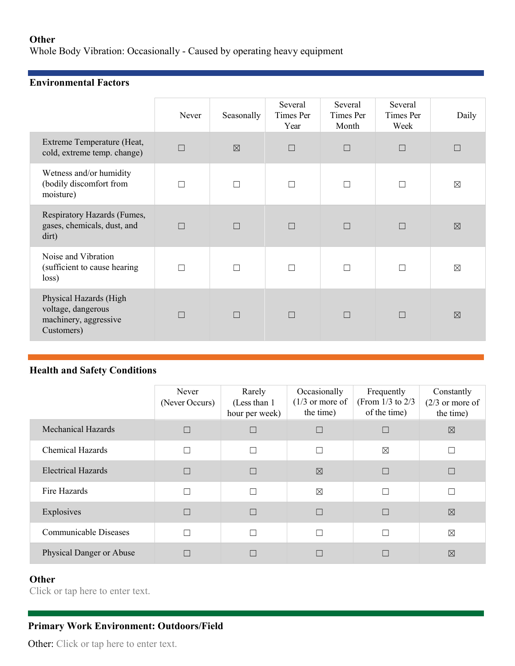#### **Other**

Whole Body Vibration: Occasionally - Caused by operating heavy equipment

# **Environmental Factors**

|                                                                                     | Never  | Seasonally  | Several<br>Times Per<br>Year | Several<br>Times Per<br>Month | Several<br>Times Per<br>Week | Daily       |
|-------------------------------------------------------------------------------------|--------|-------------|------------------------------|-------------------------------|------------------------------|-------------|
| Extreme Temperature (Heat,<br>cold, extreme temp. change)                           | $\Box$ | $\boxtimes$ | П                            | $\Box$                        | $\Box$                       |             |
| Wetness and/or humidity<br>(bodily discomfort from<br>moisture)                     | ┍      |             | П                            |                               | П                            | $\boxtimes$ |
| Respiratory Hazards (Fumes,<br>gases, chemicals, dust, and<br>dirt)                 | П      |             | $\Box$                       | П                             | $\Box$                       | $\boxtimes$ |
| Noise and Vibration<br>(sufficient to cause hearing<br>loss)                        |        |             |                              |                               | $\Box$                       | $\boxtimes$ |
| Physical Hazards (High<br>voltage, dangerous<br>machinery, aggressive<br>Customers) | П      |             | $\Box$                       | $\Box$                        | $\Box$                       | $\boxtimes$ |

### **Health and Safety Conditions**

|                           | Never<br>(Never Occurs) | Rarely<br>(Less than 1)<br>hour per week) | Occasionally<br>$(1/3)$ or more of<br>the time) | Frequently<br>(From $1/3$ to $2/3$<br>of the time) | Constantly<br>$(2/3)$ or more of<br>the time) |
|---------------------------|-------------------------|-------------------------------------------|-------------------------------------------------|----------------------------------------------------|-----------------------------------------------|
| <b>Mechanical Hazards</b> |                         | $\Box$                                    | П                                               |                                                    | $\boxtimes$                                   |
| <b>Chemical Hazards</b>   |                         | $\Box$                                    | $\Box$                                          | ⊠                                                  |                                               |
| <b>Electrical Hazards</b> |                         | $\Box$                                    | $\boxtimes$                                     |                                                    | П                                             |
| Fire Hazards              |                         | Г                                         | $\boxtimes$                                     | ٦                                                  |                                               |
| Explosives                |                         | $\Box$                                    | $\Box$                                          | ×                                                  | $\boxtimes$                                   |
| Communicable Diseases     |                         | Г                                         | П                                               |                                                    | $\boxtimes$                                   |
| Physical Danger or Abuse  |                         | $\Box$                                    |                                                 |                                                    | $\boxtimes$                                   |

### **Other**

Click or tap here to enter text.

# **Primary Work Environment: Outdoors/Field**

Other: Click or tap here to enter text.